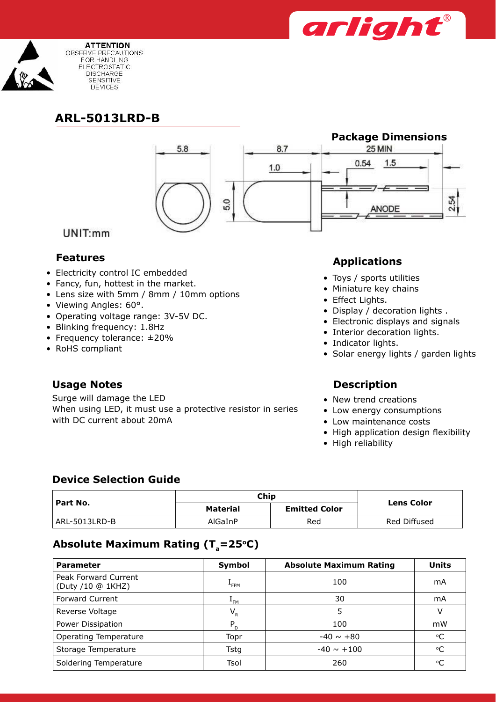



# **ARL-5013LRD-B**



### UNIT:mm

- Electricity control IC embedded
- Fancy, fun, hottest in the market.
- Lens size with 5mm / 8mm / 10mm options
- Viewing Angles: 60°.
- • Operating voltage range: 3V-5V DC.
- • Blinking frequency: 1.8Hz
- Frequency tolerance: ±20%
- RoHS compliant

## **Usage Notes Description**

Surge will damage the LED When using LED, it must use a protective resistor in series with DC current about 20mA

# **Features Applications**

- • Toys / sports utilities
- • Miniature key chains
- Effect Lights.
- Display / decoration lights .
- Electronic displays and signals
- Interior decoration lights.
- Indicator lights.
- Solar energy lights / garden lights

- New trend creations
- Low energy consumptions
- Low maintenance costs
- High application design flexibility
- High reliability

### **Device Selection Guide**

| ' Part No.    | Chip     | <b>Lens Color</b>    |              |
|---------------|----------|----------------------|--------------|
|               | Material | <b>Emitted Color</b> |              |
| ARL-5013LRD-B | AlGaInP  | Red                  | Red Diffused |

# Absolute Maximum Rating (T<sub>a</sub>=25°C)

| <b>Parameter</b>                          | Symbol           | <b>Absolute Maximum Rating</b> | <b>Units</b>    |
|-------------------------------------------|------------------|--------------------------------|-----------------|
| Peak Forward Current<br>(Duty /10 @ 1KHZ) | <sup>+</sup> FPM | 100                            | mA              |
| <b>Forward Current</b>                    | $L_{FM}$         | 30                             | mA              |
| Reverse Voltage                           | $V_{R}$          | 5.                             | V               |
| Power Dissipation                         | $P_{D}$          | 100                            | mW              |
| Operating Temperature                     | Topr             | $-40 \sim +80$                 | $\rm ^{\circ}C$ |
| Storage Temperature                       | Tstg             | $-40 \sim +100$                | °C              |
| Soldering Temperature                     | Tsol             | 260                            | °C              |